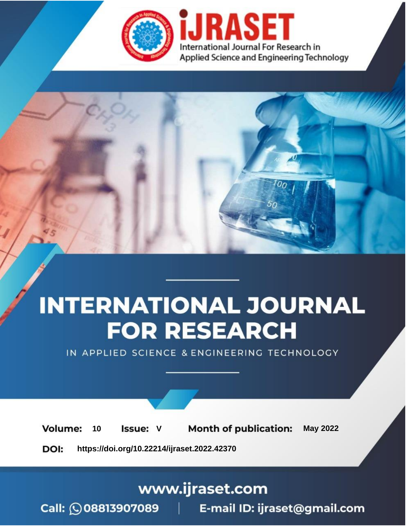

# **INTERNATIONAL JOURNAL FOR RESEARCH**

IN APPLIED SCIENCE & ENGINEERING TECHNOLOGY

Volume: **Month of publication: May 2022** 10 **Issue: V** 

DOI: https://doi.org/10.22214/ijraset.2022.42370

www.ijraset.com

Call: 008813907089 | E-mail ID: ijraset@gmail.com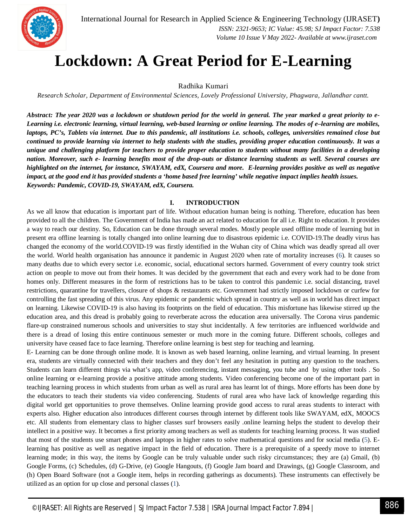

### **Lockdown: A Great Period for E-Learning**

Radhika Kumari

*Research Scholar, Department of Environmental Sciences, Lovely Professional University, Phagwara, Jallandhar cantt.*

*Abstract: The year 2020 was a lockdown or shutdown period for the world in general. The year marked a great priority to e-Learning i.e. electronic learning, virtual learning, web-based learning or online learning. The modes of e–learning are mobiles, laptops, PC's, Tablets via internet. Due to this pandemic, all institutions i.e. schools, colleges, universities remained close but continued to provide learning via internet to help students with the studies, providing proper education continuously. It was a unique and challenging platform for teachers to provide proper education to students without many facilities in a developing nation. Moreover, such e- learning benefits most of the drop-outs or distance learning students as well. Several courses are highlighted on the internet, for instance, SWAYAM, edX, Coursera and more. E-learning provides positive as well as negative impact, at the good end it has provided students a 'home based free learning' while negative impact implies health issues. Keywords: Pandemic, COVID-19, SWAYAM, edX, Coursera.*

#### **I. INTRODUCTION**

As we all know that education is important part of life. Without education human being is nothing. Therefore, education has been provided to all the children. The Government of India has made an act related to education for all i.e. Right to education. It provides a way to reach our destiny. So, Education can be done through several modes. Mostly people used offline mode of learning but in present era offline learning is totally changed into online learning due to disastrous epidemic i.e. COVID-19.The deadly virus has changed the economy of the world.COVID-19 was firstly identified in the Wuhan city of China which was deadly spread all over the world. World health organisation has announce it pandemic in August 2020 when rate of mortality increases (6). It causes so many deaths due to which every sector i.e. economic, social, educational sectors harmed. Government of every country took strict action on people to move out from their homes. It was decided by the government that each and every work had to be done from homes only. Different measures in the form of restrictions has to be taken to control this pandemic i.e. social distancing, travel restrictions, quarantine for travellers, closure of shops & restaurants etc. Government had strictly imposed lockdown or curfew for controlling the fast spreading of this virus. Any epidemic or pandemic which spread in country as well as in world has direct impact on learning. Likewise COVID-19 is also having its footprints on the field of education. This misfortune has likewise stirred up the education area, and this dread is probably going to reverberate across the education area universally. The Corona virus pandemic flare-up constrained numerous schools and universities to stay shut incidentally. A few territories are influenced worldwide and there is a dread of losing this entire continuous semester or much more in the coming future. Different schools, colleges and university have ceased face to face learning. Therefore online learning is best step for teaching and learning.

E- Learning can be done through online mode. It is known as web based learning, online learning, and virtual learning. In present era, students are virtually connected with their teachers and they don't feel any hesitation in putting any question to the teachers. Students can learn different things via what's app, video conferencing, instant messaging, you tube and by using other tools . So online learning or e-learning provide a positive attitude among students. Video conferencing become one of the important part in teaching learning process in which students from urban as well as rural area has learnt lot of things. More efforts has been done by the educators to teach their students via video conferencing. Students of rural area who have lack of knowledge regarding this digital world get opportunities to prove themselves. Online learning provide good access to rural areas students to interact with experts also. Higher education also introduces different courses through internet by different tools like SWAYAM, edX, MOOCS etc. All students from elementary class to higher classes surf browsers easily .online learning helps the student to develop their intellect in a positive way. It becomes a first priority among teachers as well as students for teaching learning process. It was studied that most of the students use smart phones and laptops in higher rates to solve mathematical questions and for social media (5). Elearning has positive as well as negative impact in the field of education. There is a prerequisite of a speedy move to internet learning mode; in this way, the items by Google can be truly valuable under such risky circumstances; they are (a) Gmail, (b) Google Forms, (c) Schedules, (d) G-Drive, (e) Google Hangouts, (f) Google Jam board and Drawings, (g) Google Classroom, and (h) Open Board Software (not a Google item, helps in recording gatherings as documents). These instruments can effectively be utilized as an option for up close and personal classes (1).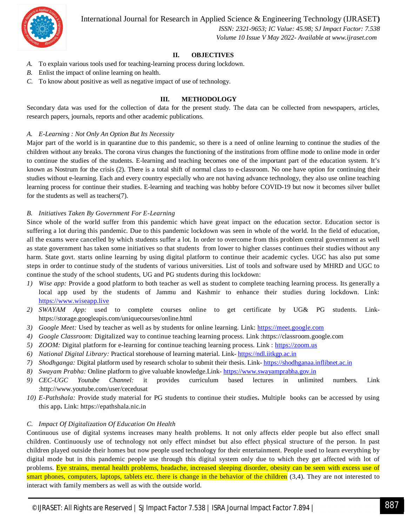International Journal for Research in Applied Science & Engineering Technology (IJRASET**)**



 *ISSN: 2321-9653; IC Value: 45.98; SJ Impact Factor: 7.538 Volume 10 Issue V May 2022- Available at www.ijraset.com*

#### **II. OBJECTIVES**

- *A.* To explain various tools used for teaching-learning process during lockdown.
- *B.* Enlist the impact of online learning on health.
- *C.* To know about positive as well as negative impact of use of technology.

#### **III. METHODOLOGY**

Secondary data was used for the collection of data for the present study. The data can be collected from newspapers, articles, research papers, journals, reports and other academic publications.

#### *A. E-Learning : Not Only An Option But Its Necessity*

Major part of the world is in quarantine due to this pandemic, so there is a need of online learning to continue the studies of the children without any breaks. The corona virus changes the functioning of the institutions from offline mode to online mode in order to continue the studies of the students. E-learning and teaching becomes one of the important part of the education system. It's known as Nostrum for the crisis (2). There is a total shift of normal class to e-classroom. No one have option for continuing their studies without e-learning. Each and every country especially who are not having advance technology, they also use online teaching learning process for continue their studies. E-learning and teaching was hobby before COVID-19 but now it becomes silver bullet for the students as well as teachers(7).

#### *B. Initiatives Taken By Government For E-Learning*

Since whole of the world suffer from this pandemic which have great impact on the education sector. Education sector is suffering a lot during this pandemic. Due to this pandemic lockdown was seen in whole of the world. In the field of education, all the exams were cancelled by which students suffer a lot. In order to overcome from this problem central government as well as state government has taken some initiatives so that students from lower to higher classes continues their studies without any harm. State govt. starts online learning by using digital platform to continue their academic cycles. UGC has also put some steps in order to continue study of the students of various universities. List of tools and software used by MHRD and UGC to continue the study of the school students, UG and PG students during this lockdown:

- *1) Wise app:* Provide a good platform to both teacher as well as student to complete teaching learning process. Its generally a local app used by the students of Jammu and Kashmir to enhance their studies during lockdown. Link: https://www.wiseapp.live
- *2) SWAYAM App:* used to complete courses online to get certificate by UG& PG students. Linkhttps://storage.googleapis.com/uniquecourses/online.html
- *3) Google Meet:* Used by teacher as well as by students for online learning. Link: https://meet.google.com
- *4) Google Classroom:* Digitalized way to continue teaching learning process. Link :https://classroom.google.com
- *5) ZOOM:* Digital platform for e-learning for continue teaching learning process. Link : https://zoom.us
- *6) National Digital Library:* Practical storehouse of learning material. Link- https://ndl.iitkgp.ac.in
- *7) Shodhganga:* Digital platform used by research scholar to submit their thesis. Link- https://shodhganaa.inflibnet.ac.in
- *8) Swayam Prabha:* Online platform to give valuable knowledge.Link- https://www.swayamprabha.gov.in
- *9) CEC-UGC Youtube Channel:* it provides curriculum based lectures in unlimited numbers. Link :http://www.youtube.com/user/cecedusat
- *10) E-Pathshala:* Provide study material for PG students to continue their studies**.** Multiple books can be accessed by using this app**.** Link: https://epathshala.nic.in

#### *C. Impact Of Digitalization Of Education On Health*

Continuous use of digital systems increases many health problems. It not only affects elder people but also effect small children. Continuously use of technology not only effect mindset but also effect physical structure of the person. In past children played outside their homes but now people used technology for their entertainment. People used to learn everything by digital mode but in this pandemic people use through this digital system only due to which they get affected with lot of problems. Eye strains, mental health problems, headache, increased sleeping disorder, obesity can be seen with excess use of smart phones, computers, laptops, tablets etc. there is change in the behavior of the children (3,4). They are not interested to interact with family members as well as with the outside world.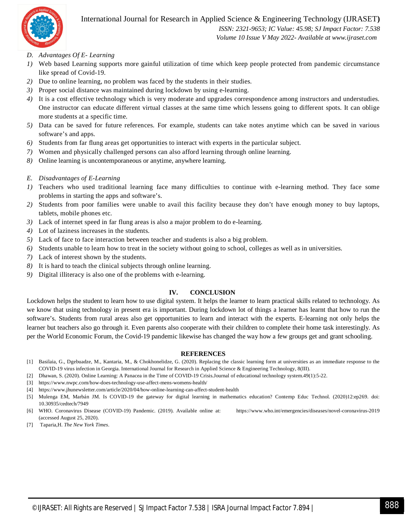

#### International Journal for Research in Applied Science & Engineering Technology (IJRASET**)**

 *ISSN: 2321-9653; IC Value: 45.98; SJ Impact Factor: 7.538 Volume 10 Issue V May 2022- Available at www.ijraset.com*

- *D. Advantages Of E- Learning*
- *1)* Web based Learning supports more gainful utilization of time which keep people protected from pandemic circumstance like spread of Covid-19.
- *2)* Due to online learning, no problem was faced by the students in their studies.
- *3)* Proper social distance was maintained during lockdown by using e-learning.
- *4)* It is a cost effective technology which is very moderate and upgrades correspondence among instructors and understudies. One instructor can educate different virtual classes at the same time which lessens going to different spots. It can oblige more students at a specific time.
- *5)* Data can be saved for future references. For example, students can take notes anytime which can be saved in various software's and apps.
- *6)* Students from far flung areas get opportunities to interact with experts in the particular subject.
- *7)* Women and physically challenged persons can also afford learning through online learning.
- *8)* Online learning is uncontemporaneous or anytime, anywhere learning.
- *E. Disadvantages of E-Learning*
- *1)* Teachers who used traditional learning face many difficulties to continue with e-learning method. They face some problems in starting the apps and software's.
- *2)* Students from poor families were unable to avail this facility because they don't have enough money to buy laptops, tablets, mobile phones etc.
- *3)* Lack of internet speed in far flung areas is also a major problem to do e-learning.
- *4)* Lot of laziness increases in the students.
- *5)* Lack of face to face interaction between teacher and students is also a big problem.
- *6)* Students unable to learn how to treat in the society without going to school, colleges as well as in universities.
- *7)* Lack of interest shown by the students.
- *8)* It is hard to teach the clinical subjects through online learning.
- *9)* Digital illiteracy is also one of the problems with e-learning.

#### **IV. CONCLUSION**

Lockdown helps the student to learn how to use digital system. It helps the learner to learn practical skills related to technology. As we know that using technology in present era is important. During lockdown lot of things a learner has learnt that how to run the software's. Students from rural areas also get opportunities to learn and interact with the experts. E-learning not only helps the learner but teachers also go through it. Even parents also cooperate with their children to complete their home task interestingly. As per the World Economic Forum, the Covid-19 pandemic likewise has changed the way how a few groups get and grant schooling.

#### **REFERENCES**

- [1] Basilaia, G., Dgebuadze, M., Kantaria, M., & Chokhonelidze, G. (2020). Replacing the classic learning form at universities as an immediate response to the COVID-19 virus infection in Georgia. International Journal for Research in Applied Science & Engineering Technology, 8(III).
- [2] Dhawan, S. (2020). Online Learning: A Panacea in the Time of COVID-19 Crisis.Journal of educational technology system.49(1):5-22.
- [3] https://www.nwpc.com/how-does-technology-use-affect-mens-womens-health/
- [4] https://www.jhunewsletter.com/article/2020/04/how-online-learning-can-affect-student-health
- [5] Mulenga EM, Marbán JM. Is COVID-19 the gateway for digital learning in mathematics education? Contemp Educ Technol. (2020)12:ep269. doi: 10.30935/cedtech/7949
- [6] WHO. Coronavirus Disease (COVID-19) Pandemic. (2019). Available online at: https://www.who.int/emergencies/diseases/novel-coronavirus-2019 (accessed August 25, 2020).
- [7] Taparia,H. *The New York Times*.